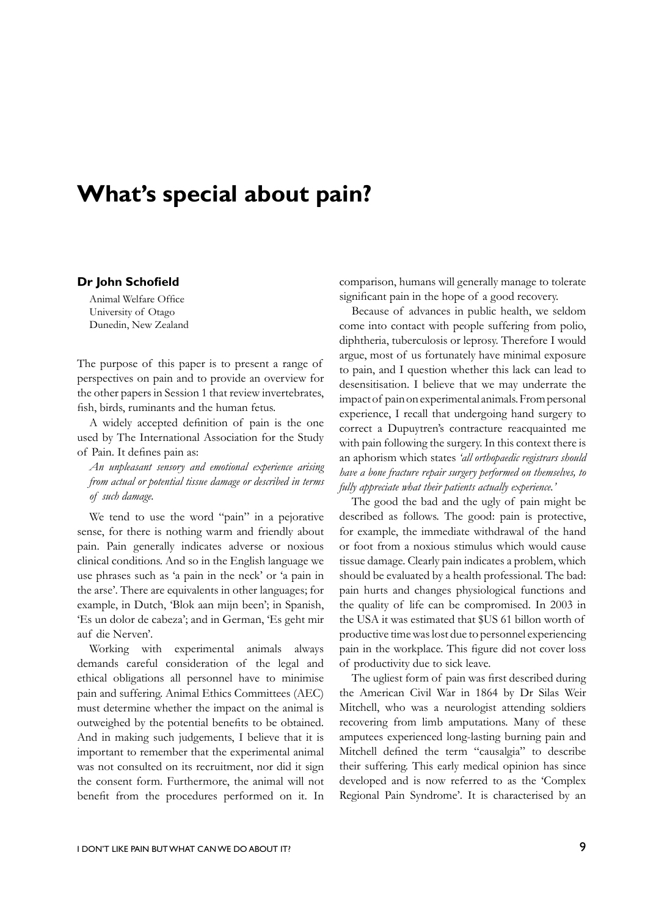## **What's special about pain?**

## **Dr John Schofield**

Animal Welfare Office University of Otago Dunedin, New Zealand

The purpose of this paper is to present a range of perspectives on pain and to provide an overview for the other papers in Session 1 that review invertebrates, fish, birds, ruminants and the human fetus.

A widely accepted definition of pain is the one used by The International Association for the Study of Pain. It defines pain as:

*An unpleasant sensory and emotional experience arising from actual or potential tissue damage or described in terms of such damage.*

We tend to use the word "pain" in a pejorative sense, for there is nothing warm and friendly about pain. Pain generally indicates adverse or noxious clinical conditions. And so in the English language we use phrases such as 'a pain in the neck' or 'a pain in the arse'. There are equivalents in other languages; for example, in Dutch, 'Blok aan mijn been'; in Spanish, 'Es un dolor de cabeza'; and in German, 'Es geht mir auf die Nerven'.

Working with experimental animals always demands careful consideration of the legal and ethical obligations all personnel have to minimise pain and suffering. Animal Ethics Committees (AEC) must determine whether the impact on the animal is outweighed by the potential benefits to be obtained. And in making such judgements, I believe that it is important to remember that the experimental animal was not consulted on its recruitment, nor did it sign the consent form. Furthermore, the animal will not benefit from the procedures performed on it. In comparison, humans will generally manage to tolerate significant pain in the hope of a good recovery.

Because of advances in public health, we seldom come into contact with people suffering from polio, diphtheria, tuberculosis or leprosy. Therefore I would argue, most of us fortunately have minimal exposure to pain, and I question whether this lack can lead to desensitisation. I believe that we may underrate the impact of pain on experimental animals. From personal experience, I recall that undergoing hand surgery to correct a Dupuytren's contracture reacquainted me with pain following the surgery. In this context there is an aphorism which states *'all orthopaedic registrars should have a bone fracture repair surgery performed on themselves, to fully appreciate what their patients actually experience.'* 

The good the bad and the ugly of pain might be described as follows. The good: pain is protective, for example, the immediate withdrawal of the hand or foot from a noxious stimulus which would cause tissue damage. Clearly pain indicates a problem, which should be evaluated by a health professional. The bad: pain hurts and changes physiological functions and the quality of life can be compromised. In 2003 in the USA it was estimated that \$US 61 billon worth of productive time was lost due to personnel experiencing pain in the workplace. This figure did not cover loss of productivity due to sick leave.

The ugliest form of pain was first described during the American Civil War in 1864 by Dr Silas Weir Mitchell, who was a neurologist attending soldiers recovering from limb amputations. Many of these amputees experienced long-lasting burning pain and Mitchell defined the term "causalgia" to describe their suffering. This early medical opinion has since developed and is now referred to as the 'Complex Regional Pain Syndrome'. It is characterised by an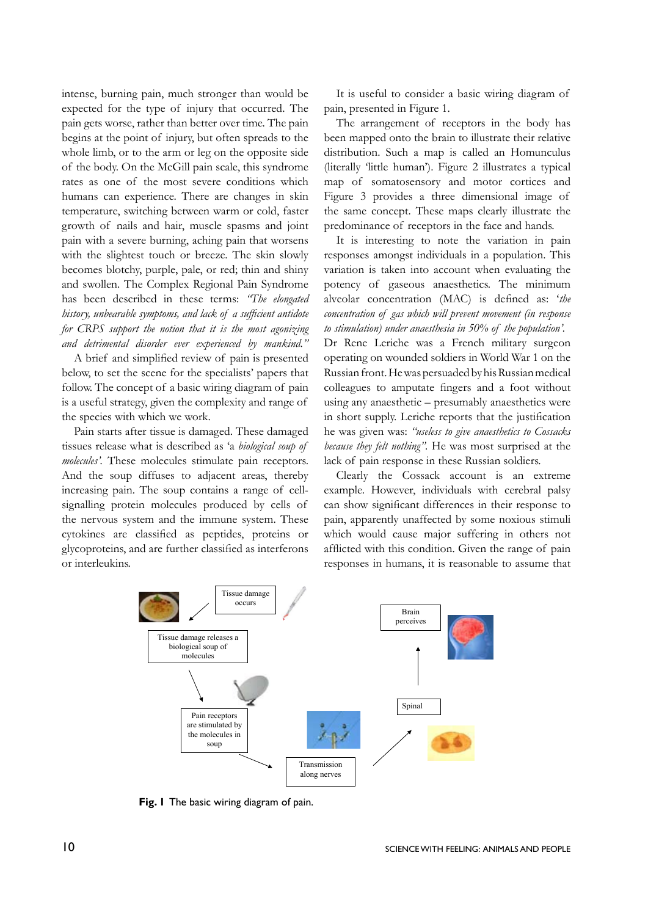intense, burning pain, much stronger than would be expected for the type of injury that occurred. The pain gets worse, rather than better over time. The pain begins at the point of injury, but often spreads to the whole limb, or to the arm or leg on the opposite side of the body. On the McGill pain scale, this syndrome rates as one of the most severe conditions which humans can experience. There are changes in skin temperature, switching between warm or cold, faster growth of nails and hair, muscle spasms and joint pain with a severe burning, aching pain that worsens with the slightest touch or breeze. The skin slowly becomes blotchy, purple, pale, or red; thin and shiny and swollen. The Complex Regional Pain Syndrome has been described in these terms: *"The elongated history, unbearable symptoms, and lack of a sufficient antidote for CRPS support the notion that it is the most agonizing and detrimental disorder ever experienced by mankind."*

A brief and simplified review of pain is presented below, to set the scene for the specialists' papers that follow. The concept of a basic wiring diagram of pain is a useful strategy, given the complexity and range of the species with which we work.

Pain starts after tissue is damaged. These damaged tissues release what is described as 'a *biological soup of molecules'*. These molecules stimulate pain receptors. And the soup diffuses to adjacent areas, thereby increasing pain. The soup contains a range of cellsignalling protein molecules produced by cells of the nervous system and the immune system. These cytokines are classified as peptides, proteins or glycoproteins, and are further classified as interferons or interleukins.

It is useful to consider a basic wiring diagram of pain, presented in Figure 1.

The arrangement of receptors in the body has been mapped onto the brain to illustrate their relative distribution. Such a map is called an Homunculus (literally 'little human'). Figure 2 illustrates a typical map of somatosensory and motor cortices and Figure 3 provides a three dimensional image of the same concept. These maps clearly illustrate the predominance of receptors in the face and hands.

It is interesting to note the variation in pain responses amongst individuals in a population. This variation is taken into account when evaluating the potency of gaseous anaesthetics. The minimum alveolar concentration (MAC) is defined as: '*the concentration of gas which will prevent movement (in response to stimulation) under anaesthesia in 50% of the population'.* 

Dr Rene Leriche was a French military surgeon operating on wounded soldiers in World War 1 on the Russian front. He was persuaded by his Russian medical colleagues to amputate fingers and a foot without using any anaesthetic – presumably anaesthetics were in short supply. Leriche reports that the justification he was given was: *"useless to give anaesthetics to Cossacks because they felt nothing".* He was most surprised at the lack of pain response in these Russian soldiers.

Clearly the Cossack account is an extreme example. However, individuals with cerebral palsy can show significant differences in their response to pain, apparently unaffected by some noxious stimuli which would cause major suffering in others not afflicted with this condition. Given the range of pain responses in humans, it is reasonable to assume that



**Fig. 1** The basic wiring diagram of pain.